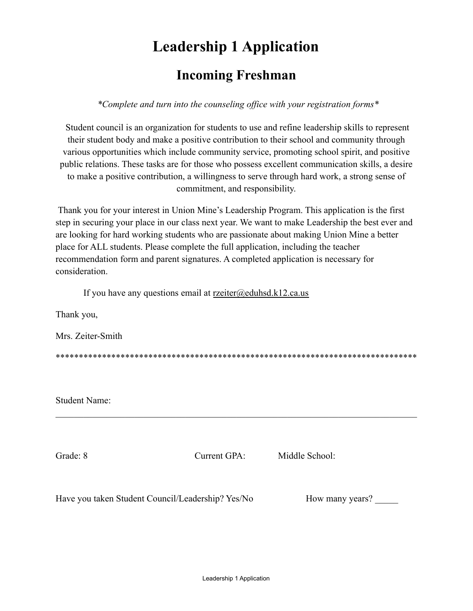## **Leadership 1 Application**

### **Incoming Freshman**

*\*Complete and turn into the counseling office with your registration forms\**

Student council is an organization for students to use and refine leadership skills to represent their student body and make a positive contribution to their school and community through various opportunities which include community service, promoting school spirit, and positive public relations. These tasks are for those who possess excellent communication skills, a desire to make a positive contribution, a willingness to serve through hard work, a strong sense of commitment, and responsibility.

Thank you for your interest in Union Mine's Leadership Program. This application is the first step in securing your place in our class next year. We want to make Leadership the best ever and are looking for hard working students who are passionate about making Union Mine a better place for ALL students. Please complete the full application, including the teacher recommendation form and parent signatures. A completed application is necessary for consideration.

If you have any questions email at  $rzeiter@eduhsd.k12.ca.us$ 

Thank you,

Mrs. Zeiter-Smith

\*\*\*\*\*\*\*\*\*\*\*\*\*\*\*\*\*\*\*\*\*\*\*\*\*\*\*\*\*\*\*\*\*\*\*\*\*\*\*\*\*\*\*\*\*\*\*\*\*\*\*\*\*\*\*\*\*\*\*\*\*\*\*\*\*\*\*\*\*\*\*\*\*\*\*\*\*\*

 $\mathcal{L}_\mathcal{L} = \{ \mathcal{L}_\mathcal{L} = \{ \mathcal{L}_\mathcal{L} = \{ \mathcal{L}_\mathcal{L} = \{ \mathcal{L}_\mathcal{L} = \{ \mathcal{L}_\mathcal{L} = \{ \mathcal{L}_\mathcal{L} = \{ \mathcal{L}_\mathcal{L} = \{ \mathcal{L}_\mathcal{L} = \{ \mathcal{L}_\mathcal{L} = \{ \mathcal{L}_\mathcal{L} = \{ \mathcal{L}_\mathcal{L} = \{ \mathcal{L}_\mathcal{L} = \{ \mathcal{L}_\mathcal{L} = \{ \mathcal{L}_\mathcal{$ 

Student Name:

Grade: 8 Current GPA: Middle School:

Have you taken Student Council/Leadership? Yes/No How many years?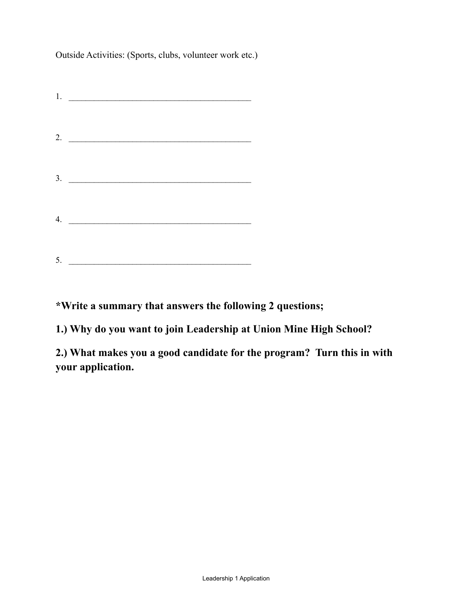Outside Activities: (Sports, clubs, volunteer work etc.)

|    | 1. $\qquad \qquad$ |  |
|----|--------------------|--|
|    | 2. $\qquad$        |  |
|    | 3.                 |  |
| 4. |                    |  |
| 5. |                    |  |

**\*Write a summary that answers the following 2 questions;**

**1.) Why do you want to join Leadership at Union Mine High School?**

**2.) What makes you a good candidate for the program? Turn this in with your application.**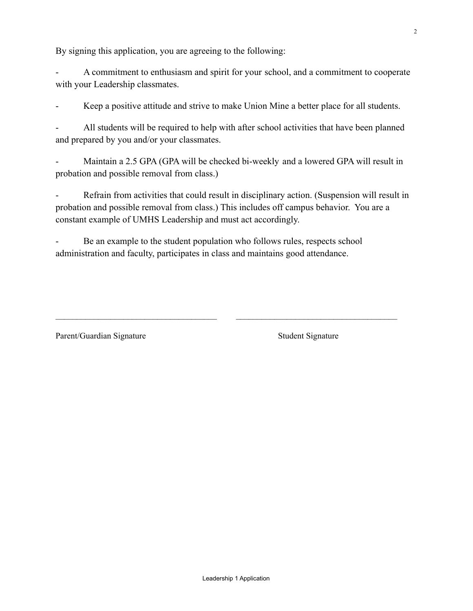By signing this application, you are agreeing to the following:

A commitment to enthusiasm and spirit for your school, and a commitment to cooperate with your Leadership classmates.

Keep a positive attitude and strive to make Union Mine a better place for all students.

All students will be required to help with after school activities that have been planned and prepared by you and/or your classmates.

Maintain a 2.5 GPA (GPA will be checked bi-weekly and a lowered GPA will result in probation and possible removal from class.)

Refrain from activities that could result in disciplinary action. (Suspension will result in probation and possible removal from class.) This includes off campus behavior. You are a constant example of UMHS Leadership and must act accordingly.

\_\_\_\_\_\_\_\_\_\_\_\_\_\_\_\_\_\_\_\_\_\_\_\_\_\_\_\_\_\_\_\_\_\_\_\_\_\_ \_\_\_\_\_\_\_\_\_\_\_\_\_\_\_\_\_\_\_\_\_\_\_\_\_\_\_\_\_\_\_\_\_\_\_\_\_\_

Be an example to the student population who follows rules, respects school administration and faculty, participates in class and maintains good attendance.

Parent/Guardian Signature Student Signature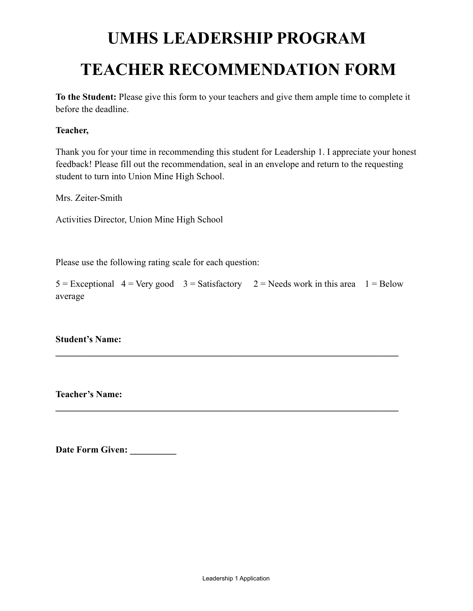# **UMHS LEADERSHIP PROGRAM TEACHER RECOMMENDATION FORM**

**To the Student:** Please give this form to your teachers and give them ample time to complete it before the deadline.

#### **Teacher,**

Thank you for your time in recommending this student for Leadership 1. I appreciate your honest feedback! Please fill out the recommendation, seal in an envelope and return to the requesting student to turn into Union Mine High School.

Mrs. Zeiter-Smith

Activities Director, Union Mine High School

Please use the following rating scale for each question:

|         |  | $5 =$ Exceptional $4 =$ Very good $3 =$ Satisfactory $2 =$ Needs work in this area $1 =$ Below |  |
|---------|--|------------------------------------------------------------------------------------------------|--|
| average |  |                                                                                                |  |

**\_\_\_\_\_\_\_\_\_\_\_\_\_\_\_\_\_\_\_\_\_\_\_\_\_\_\_\_\_\_\_\_\_\_\_\_\_\_\_\_\_\_\_\_\_\_\_\_\_\_\_\_\_\_\_\_\_\_\_\_\_\_\_\_\_\_\_\_\_\_\_\_\_\_**

**\_\_\_\_\_\_\_\_\_\_\_\_\_\_\_\_\_\_\_\_\_\_\_\_\_\_\_\_\_\_\_\_\_\_\_\_\_\_\_\_\_\_\_\_\_\_\_\_\_\_\_\_\_\_\_\_\_\_\_\_\_\_\_\_\_\_\_\_\_\_\_\_\_\_**

**Student's Name:**

**Teacher's Name:**

**Date Form Given: \_\_\_\_\_\_\_\_\_\_**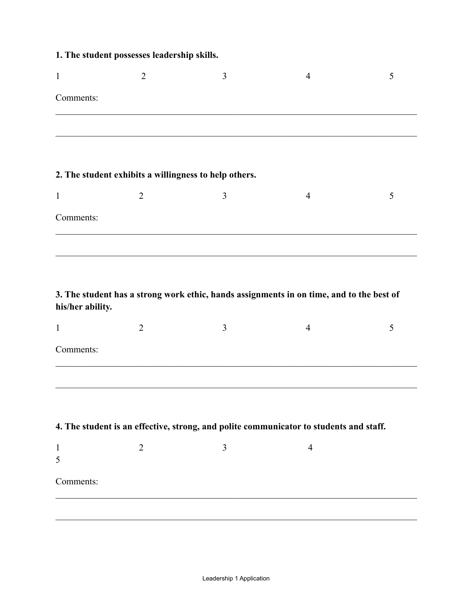|  |  |  |  | 1. The student possesses leadership skills. |  |
|--|--|--|--|---------------------------------------------|--|
|--|--|--|--|---------------------------------------------|--|

| $\mathbf{1}$     | $\overline{2}$                                        | 3              | $\overline{4}$                                                                           | 5 |
|------------------|-------------------------------------------------------|----------------|------------------------------------------------------------------------------------------|---|
| Comments:        |                                                       |                |                                                                                          |   |
|                  |                                                       |                |                                                                                          |   |
|                  |                                                       |                |                                                                                          |   |
|                  | 2. The student exhibits a willingness to help others. |                |                                                                                          |   |
| $\mathbf{1}$     | $\overline{2}$                                        | 3              | $\overline{4}$                                                                           | 5 |
| Comments:        |                                                       |                |                                                                                          |   |
|                  |                                                       |                |                                                                                          |   |
|                  |                                                       |                |                                                                                          |   |
| his/her ability. |                                                       |                | 3. The student has a strong work ethic, hands assignments in on time, and to the best of |   |
| $\mathbf{1}$     | $\overline{2}$                                        | $\overline{3}$ | $\overline{4}$                                                                           | 5 |
| Comments:        |                                                       |                |                                                                                          |   |

#### **4. The student is an effective, strong, and polite communicator to students and staff.**

| Comments: |  |  |
|-----------|--|--|
|           |  |  |

 $\mathcal{L}_\mathcal{L} = \{ \mathcal{L}_\mathcal{L} = \{ \mathcal{L}_\mathcal{L} = \{ \mathcal{L}_\mathcal{L} = \{ \mathcal{L}_\mathcal{L} = \{ \mathcal{L}_\mathcal{L} = \{ \mathcal{L}_\mathcal{L} = \{ \mathcal{L}_\mathcal{L} = \{ \mathcal{L}_\mathcal{L} = \{ \mathcal{L}_\mathcal{L} = \{ \mathcal{L}_\mathcal{L} = \{ \mathcal{L}_\mathcal{L} = \{ \mathcal{L}_\mathcal{L} = \{ \mathcal{L}_\mathcal{L} = \{ \mathcal{L}_\mathcal{$ 

 $\mathcal{L}_\mathcal{L} = \{ \mathcal{L}_\mathcal{L} = \{ \mathcal{L}_\mathcal{L} = \{ \mathcal{L}_\mathcal{L} = \{ \mathcal{L}_\mathcal{L} = \{ \mathcal{L}_\mathcal{L} = \{ \mathcal{L}_\mathcal{L} = \{ \mathcal{L}_\mathcal{L} = \{ \mathcal{L}_\mathcal{L} = \{ \mathcal{L}_\mathcal{L} = \{ \mathcal{L}_\mathcal{L} = \{ \mathcal{L}_\mathcal{L} = \{ \mathcal{L}_\mathcal{L} = \{ \mathcal{L}_\mathcal{L} = \{ \mathcal{L}_\mathcal{$